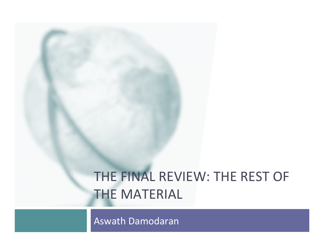# THE FINAL REVIEW: THE REST OF **THE MATERIAL**

Aswath Damodaran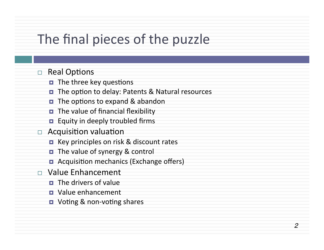## The final pieces of the puzzle

#### □ Real Options

- $\blacksquare$  The three key questions
- The option to delay: Patents & Natural resources
- $\blacksquare$  The options to expand & abandon
- $\blacksquare$  The value of financial flexibility
- $\blacksquare$  Equity in deeply troubled firms
- $\Box$  Acquisition valuation
	- $\blacksquare$  Key principles on risk & discount rates
	- The value of synergy & control
	- **□** Acquisition mechanics (Exchange offers)
- $\Box$  Value Enhancement
	- $\blacksquare$  The drivers of value
	- $\blacksquare$  Value enhancement
	- **□** Voting & non-voting shares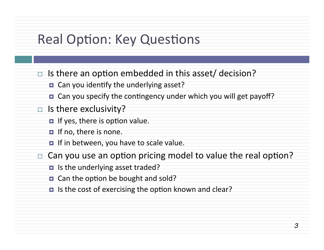#### Real Option: Key Questions

- $\Box$  Is there an option embedded in this asset/ decision?
	- $\Box$  Can you identify the underlying asset?
	- □ Can you specify the contingency under which you will get payoff?
- $\Box$  Is there exclusivity?
	- $\blacksquare$  If yes, there is option value.
	- $\blacksquare$  If no, there is none.
	- $\blacksquare$  If in between, you have to scale value.
- $\Box$  Can you use an option pricing model to value the real option?
	- $\blacksquare$  Is the underlying asset traded?
	- $\Box$  Can the option be bought and sold?
	- $\blacksquare$  Is the cost of exercising the option known and clear?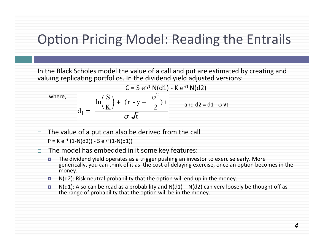#### Option Pricing Model: Reading the Entrails

In the Black Scholes model the value of a call and put are estimated by creating and valuing replicating portfolios. In the dividend yield adjusted versions:

$$
C = S e^{-yt} N(d1) - K e^{-rt} N(d2)
$$
\nwhere,\n
$$
d_1 = \frac{\ln\left(\frac{S}{K}\right) + (r - y + \frac{\sigma^2}{2})t}{\sigma \sqrt{t}} \quad \text{and } d2 = d1 - \sigma \forall t
$$

 $\Box$  The value of a put can also be derived from the call

 $P = K e^{-rt} (1-N(d2)) - S e^{-yt} (1-N(d1))$ 

- $\Box$  The model has embedded in it some key features:
	- $\blacksquare$  The dividend yield operates as a trigger pushing an investor to exercise early. More generically, you can think of it as the cost of delaying exercise, once an option becomes in the money.
	- $\blacksquare$  N(d2): Risk neutral probability that the option will end up in the money.
	- $N(d1)$ : Also can be read as a probability and  $N(d1) N(d2)$  can very loosely be thought off as the range of probability that the option will be in the money.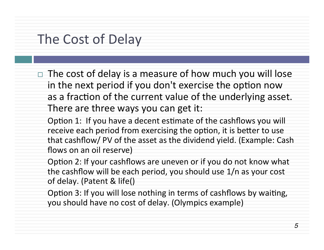#### The Cost of Delay

 $\Box$  The cost of delay is a measure of how much you will lose in the next period if you don't exercise the option now as a fraction of the current value of the underlying asset. There are three ways you can get it:

Option 1: If you have a decent estimate of the cashflows you will receive each period from exercising the option, it is better to use that cashflow/ PV of the asset as the dividend yield. (Example: Cash flows on an oil reserve)

Option 2: If your cashflows are uneven or if you do not know what the cashflow will be each period, you should use  $1/n$  as your cost of delay. (Patent & life()

Option 3: If you will lose nothing in terms of cashflows by waiting, you should have no cost of delay. (Olympics example)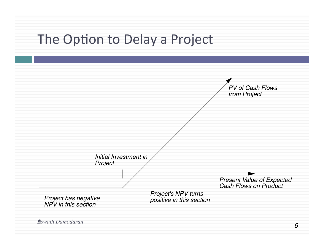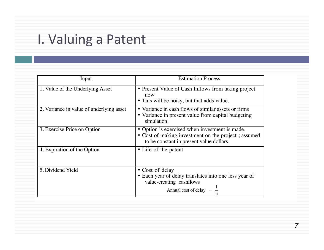# I. Valuing a Patent

| Input                                    | <b>Estimation Process</b>                                                                                                                         |
|------------------------------------------|---------------------------------------------------------------------------------------------------------------------------------------------------|
| 1. Value of the Underlying Asset         | • Present Value of Cash Inflows from taking project<br>now<br>• This will be noisy, but that adds value.                                          |
| 2. Variance in value of underlying asset | • Variance in cash flows of similar assets or firms<br>• Variance in present value from capital budgeting<br>simulation.                          |
| 3. Exercise Price on Option              | • Option is exercised when investment is made.<br>• Cost of making investment on the project; assumed<br>to be constant in present value dollars. |
| 4. Expiration of the Option              | • Life of the patent                                                                                                                              |
| 5. Dividend Yield                        | • Cost of delay<br>• Each year of delay translates into one less year of<br>value-creating cashflows<br>Annual cost of delay                      |

*7*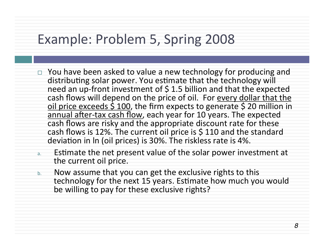# Example: Problem 5, Spring 2008

- $\Box$  You have been asked to value a new technology for producing and distributing solar power. You estimate that the technology will need an up-front investment of  $\frac{1}{2}$  1.5 billion and that the expected cash flows will depend on the price of oil. For every dollar that the oil price exceeds  $$100$ , the firm expects to generate  $$20$  million in annual after-tax cash flow, each year for 10 years. The expected cash flows are risky and the appropriate discount rate for these cash flows is 12%. The current oil price is \$ 110 and the standard deviation in In (oil prices) is 30%. The riskless rate is 4%.
- a. Estimate the net present value of the solar power investment at the current oil price.
- b. Now assume that you can get the exclusive rights to this technology for the next 15 years. Estimate how much you would be willing to pay for these exclusive rights?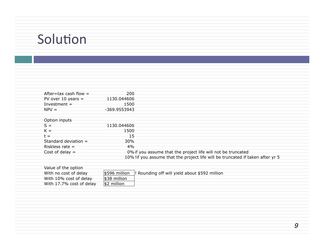| After=tax cash flow $=$ | 200             |                                                                                 |
|-------------------------|-----------------|---------------------------------------------------------------------------------|
| PV over 10 years $=$    | 1130.044606     |                                                                                 |
| Investment $=$          | 1500            |                                                                                 |
| $NPV =$                 | -369.9553943    |                                                                                 |
|                         |                 |                                                                                 |
| Option inputs           |                 |                                                                                 |
| $S =$                   | 1130.044606     |                                                                                 |
| $K =$                   | 1500            |                                                                                 |
| $t =$                   | 15              |                                                                                 |
| Standard deviation $=$  | 30 <sub>%</sub> |                                                                                 |
| Riskless rate $=$       | 4%              |                                                                                 |
| Cost of delay $=$       |                 | 0% if you assume that the project life will not be truncated                    |
|                         |                 | 10% ! if you assume that the project life will be truncated if taken after yr 5 |

| Value of the option      |                       |                                               |
|--------------------------|-----------------------|-----------------------------------------------|
| With no cost of delay    | ⊣\$596 million        | ! Rounding off will yield about \$592 million |
| With 10% cost of delay   | \$38 million          |                                               |
| With 17.7% cost of delay | $\frac{1}{2}$ million |                                               |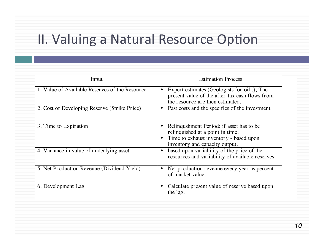# II. Valuing a Natural Resource Option

| Input                                          | <b>Estimation Process</b>                                                                                                                                  |  |  |
|------------------------------------------------|------------------------------------------------------------------------------------------------------------------------------------------------------------|--|--|
| 1. Value of Available Reserves of the Resource | Expert estimates (Geologists for oil); The<br>present value of the after-tax cash flows from<br>the resource are then estimated.                           |  |  |
| 2. Cost of Developing Reserve (Strike Price)   | Past costs and the specifics of the investment                                                                                                             |  |  |
| 3. Time to Expiration                          | Relinqushment Period: if asset has to be<br>relinquished at a point in time.<br>• Time to exhaust inventory - based upon<br>inventory and capacity output. |  |  |
| 4. Variance in value of underlying asset       | based upon variability of the price of the<br>$\bullet$<br>resources and variability of available reserves.                                                |  |  |
| 5. Net Production Revenue (Dividend Yield)     | Net production revenue every year as percent<br>of market value.                                                                                           |  |  |
| 6. Development Lag                             | Calculate present value of reserve based upon<br>the lag.                                                                                                  |  |  |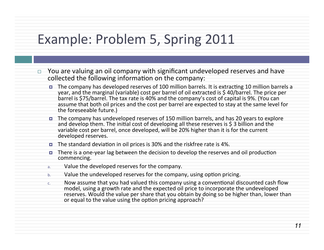## Example: Problem 5, Spring 2011

- $\Box$  You are valuing an oil company with significant undeveloped reserves and have collected the following information on the company:
	- **E** The company has developed reserves of 100 million barrels. It is extracting 10 million barrels a year, and the marginal (variable) cost per barrel of oil extracted is \$40/barrel. The price per barrel is \$75/barrel. The tax rate is 40% and the company's cost of capital is 9%. (You can assume that both oil prices and the cost per barrel are expected to stay at the same level for the foreseeable future.)
	- $\blacksquare$  The company has undeveloped reserves of 150 million barrels, and has 20 years to explore and develop them. The initial cost of developing all these reserves is  $\frac{1}{2}$  3 billion and the variable cost per barrel, once developed, will be 20% higher than it is for the current developed reserves.
	- $\blacksquare$  The standard deviation in oil prices is 30% and the riskfree rate is 4%.
	- $\blacksquare$  There is a one-year lag between the decision to develop the reserves and oil production commencing.
	- a. Value the developed reserves for the company.
	- b. Value the undeveloped reserves for the company, using option pricing.
	- c. Now assume that you had valued this company using a conventional discounted cash flow model, using a growth rate and the expected oil price to incorporate the undeveloped reserves. Would the value per share that you obtain by doing so be higher than, lower than or equal to the value using the option pricing approach?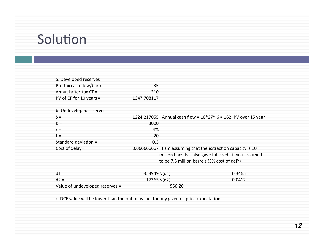| a. Developed reserves           |                |                                                                  |  |
|---------------------------------|----------------|------------------------------------------------------------------|--|
| Pre-tax cash flow/barrel        | 35             |                                                                  |  |
| Annual after-tax $CF =$         | 210            |                                                                  |  |
| PV of CF for 10 years $=$       | 1347.708117    |                                                                  |  |
|                                 |                |                                                                  |  |
| b. Undeveloped reserves         |                |                                                                  |  |
| $S =$                           |                | 1224.217055 ! Annual cash flow = 10*27*.6 = 162; PV over 15 year |  |
| $K =$                           | 3000           |                                                                  |  |
| $r =$                           | 4%             |                                                                  |  |
| $t =$                           | 20             |                                                                  |  |
| Standard deviation =            | 0.3            |                                                                  |  |
| Cost of delay=                  |                | 0.066666667! I am assuming that the extraction capacity is 10    |  |
|                                 |                | million barrels. I also gave full credit if you assumed it       |  |
|                                 |                | to be 7.5 million barrels (5% cost of delY)                      |  |
|                                 |                |                                                                  |  |
| $d1 =$                          | $-0.3949N(d1)$ | 0.3465                                                           |  |
| $d2 =$                          | $-17365N(d2)$  | 0.0412                                                           |  |
| Value of undeveloped reserves = | \$56.20        |                                                                  |  |
|                                 |                |                                                                  |  |

c. DCF value will be lower than the option value, for any given oil price expectation.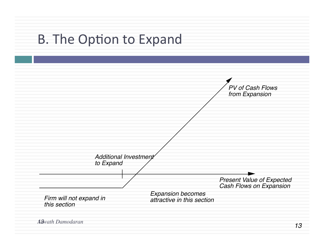

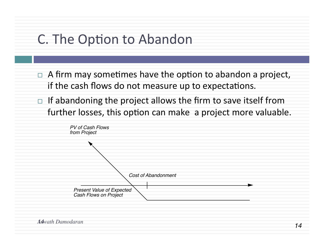#### C. The Option to Abandon

- $\Box$  A firm may sometimes have the option to abandon a project, if the cash flows do not measure up to expectations.
- $\Box$  If abandoning the project allows the firm to save itself from further losses, this option can make a project more valuable.

| PV of Cash Flows<br>from Project                   |                            |
|----------------------------------------------------|----------------------------|
|                                                    |                            |
|                                                    |                            |
|                                                    | <b>Cost of Abandonment</b> |
| Present Value of Expected<br>Cash Flows on Project |                            |
|                                                    |                            |

*Aswath Damodaran 14*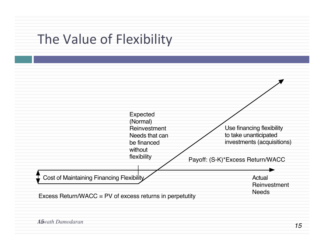

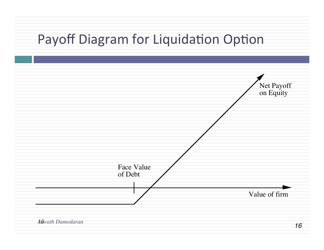# Payoff Diagram for Liquidation Option

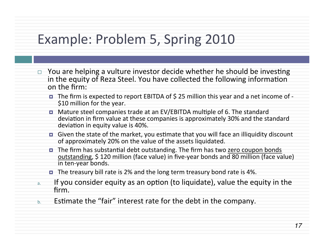### Example: Problem 5, Spring 2010

- Tou are helping a vulture investor decide whether he should be investing in the equity of Reza Steel. You have collected the following information on the firm:
	- $\blacksquare$  The firm is expected to report EBITDA of \$ 25 million this year and a net income of -\$10 million for the year.
	- Mature steel companies trade at an EV/EBITDA multiple of 6. The standard deviation in firm value at these companies is approximately 30% and the standard deviation in equity value is 40%.
	- $\blacksquare$  Given the state of the market, you estimate that you will face an illiquidity discount of approximately 20% on the value of the assets liquidated.
	- $\blacksquare$  The firm has substantial debt outstanding. The firm has two zero coupon bonds outstanding, \$120 million (face value) in five-year bonds and 80 million (face value) in ten-year bonds.
	- $\blacksquare$  The treasury bill rate is 2% and the long term treasury bond rate is 4%.
- a. If you consider equity as an option (to liquidate), value the equity in the firm.
- Estimate the "fair" interest rate for the debt in the company.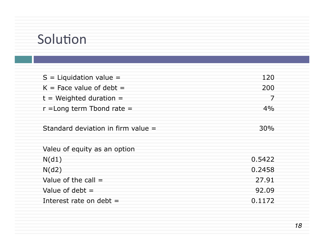| $S =$ Liquidation value =          | 120    |  |
|------------------------------------|--------|--|
| $K =$ Face value of debt $=$       | 200    |  |
| $t =$ Weighted duration =          | 7      |  |
| $r = Long$ term Tbond rate $=$     | 4%     |  |
|                                    |        |  |
| Standard deviation in firm value = | 30%    |  |
|                                    |        |  |
| Valeu of equity as an option       |        |  |
| N(d1)                              | 0.5422 |  |
| N(d2)                              | 0.2458 |  |
| Value of the call $=$              | 27.91  |  |
| Value of debt $=$                  | 92.09  |  |
| Interest rate on debt $=$          | 0.1172 |  |
|                                    |        |  |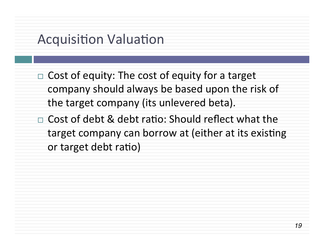#### **Acquisition Valuation**

- $\Box$  Cost of equity: The cost of equity for a target company should always be based upon the risk of the target company (its unlevered beta).
- $\Box$  Cost of debt & debt ratio: Should reflect what the target company can borrow at (either at its existing or target debt ratio)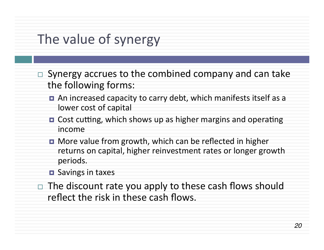## The value of synergy

- $\Box$  Synergy accrues to the combined company and can take the following forms:
	- $\blacksquare$  An increased capacity to carry debt, which manifests itself as a lower cost of capital
	- $\blacksquare$  Cost cutting, which shows up as higher margins and operating income
	- **□** More value from growth, which can be reflected in higher returns on capital, higher reinvestment rates or longer growth periods.
	- B Savings in taxes
- The discount rate you apply to these cash flows should reflect the risk in these cash flows.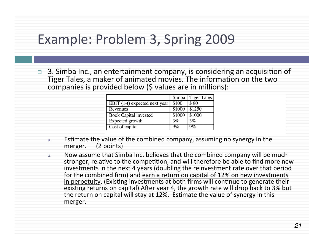#### Example: Problem 3, Spring 2009

3. Simba Inc., an entertainment company, is considering an acquisition of Tiger Tales, a maker of animated movies. The information on the two companies is provided below (\$ values are in millions):

|                               |                    | Simba   Tiger Tales |
|-------------------------------|--------------------|---------------------|
| EBIT (1-t) expected next year | \$100              | \$80                |
| Revenues                      | $$1000 \mid $1250$ |                     |
| <b>Book Capital invested</b>  | \$1000             | \$1000              |
| Expected growth               | 3%                 | 3%                  |
| Cost of capital               | 9%                 | 9%                  |

- a. Estimate the value of the combined company, assuming no synergy in the merger. (2 points)
- Now assume that Simba Inc. believes that the combined company will be much stronger, relative to the competition, and will therefore be able to find more new investments in the next 4 years (doubling the reinvestment rate over that period for the combined firm) and earn a return on capital of 12% on new investments in perpetuity. (Existing investments at both firms will continue to generate their existing returns on capital) After year 4, the growth rate will drop back to 3% but the return on capital will stay at 12%. Estimate the value of synergy in this merger.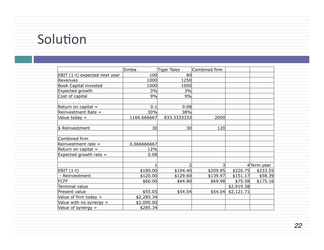|                               | Simba           | <b>Tiger Tales</b> | Combined firm |            |            |
|-------------------------------|-----------------|--------------------|---------------|------------|------------|
| EBIT (1-t) expected next year | 100             | 80                 |               |            |            |
| Revenues                      | 1000            | 1250               |               |            |            |
| <b>Book Capital invested</b>  | 1000            | 1000               |               |            |            |
| Expected growth               | 3%              | 3%                 |               |            |            |
| Cost of capital               | 9%              | 9%                 |               |            |            |
| Return on capital $=$         | 0.1             | 0.08               |               |            |            |
| Reinvestment Rate =           | 30%             | 38%                |               |            |            |
| Value today $=$               | 1166.666667     | 833.3333333        | 2000          |            |            |
| \$ Reinvestment               | 30 <sup>1</sup> | 30 <sup>1</sup>    | 120           |            |            |
| Combined firm                 |                 |                    |               |            |            |
| Reinvestment rate =           | 0.66666667      |                    |               |            |            |
| Return on capital =           | 12%             |                    |               |            |            |
| Expected growth rate =        | 0.08            |                    |               |            |            |
|                               |                 |                    |               |            | 4Term year |
| $EBIT(1-t)$                   | \$180.00        | \$194.40           | \$209.95      | \$226.75   | \$233.55   |
| - Reinvestment                | \$120.00        | \$129.60           | \$139.97      | \$151.17   | \$58.39    |
| <b>FCFF</b>                   | \$60.00         | \$64.80            | \$69.98       | \$75.58    | \$175.16   |
| Terminal value                |                 |                    |               | \$2,919.38 |            |
| Present value                 | \$55.05         | \$54.54            | \$54.04       | \$2,121.71 |            |
| Value of firm today =         | \$2,285.34      |                    |               |            |            |
| Value with no synergy =       | \$2,000.00      |                    |               |            |            |
| Value of synergy $=$          | \$285.34        |                    |               |            |            |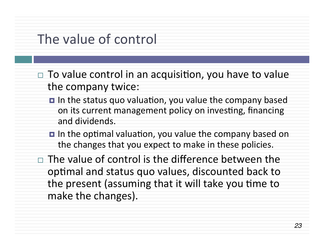#### The value of control

- $\Box$  To value control in an acquisition, you have to value the company twice:
	- $\blacksquare$  In the status quo valuation, you value the company based on its current management policy on investing, financing and dividends.
	- $\blacksquare$  In the optimal valuation, you value the company based on the changes that you expect to make in these policies.
- The value of control is the difference between the optimal and status quo values, discounted back to the present (assuming that it will take you time to make the changes).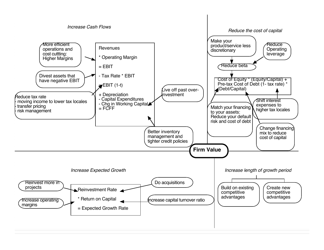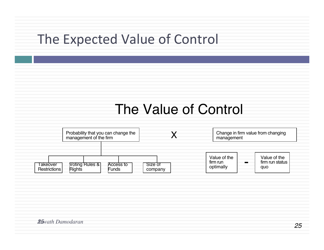# The Expected Value of Control

# The Value of Control

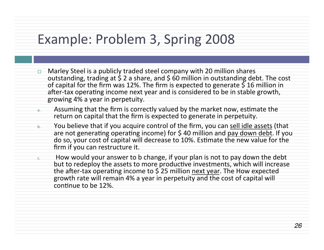## Example: Problem 3, Spring 2008

- Marley Steel is a publicly traded steel company with 20 million shares outstanding, trading at  $\frac{2}{3}$  2 a share, and  $\frac{2}{3}$  60 million in outstanding debt. The cost of capital for the firm was 12%. The firm is expected to generate  $\zeta$  16 million in after-tax operating income next year and is considered to be in stable growth, growing 4% a year in perpetuity.
- a. Assuming that the firm is correctly valued by the market now, estimate the return on capital that the firm is expected to generate in perpetuity.
- b. You believe that if you acquire control of the firm, you can sell idle assets (that are not generating operating income) for \$ 40 million and pay down debt. If you do so, your cost of capital will decrease to 10%. Estimate the new value for the firm if you can restructure it.
- How would your answer to b change, if your plan is not to pay down the debt but to redeploy the assets to more productive investments, which will increase the after-tax operating income to  $$25$  million next year. The How expected growth rate will remain 4% a year in perpetuity and the cost of capital will  $\frac{12}{6}$  continue to be 12%.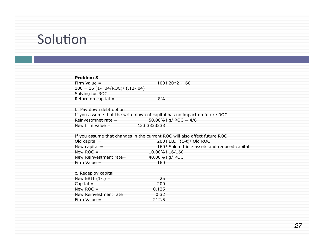| Problem 3<br>Firm Value $=$            | $100! 20*2 + 60$                                                          |  |
|----------------------------------------|---------------------------------------------------------------------------|--|
| $100 = 16 (1 - .04/ROC) / (.12 - .04)$ |                                                                           |  |
| Solving for ROC                        |                                                                           |  |
| Return on capital =                    | 8%                                                                        |  |
| b. Pay down debt option                |                                                                           |  |
|                                        | If you assume that the write down of capital has no impact on future ROC  |  |
| Reinvestmnet rate $=$                  | 50.00%! g/ ROC = $4/8$                                                    |  |
| New firm value $=$                     | 133.3333333                                                               |  |
|                                        | If you assume that changes in the current ROC will also affect future ROC |  |
| Old capital $=$                        | 200! EBIT (1-t)/ Old ROC                                                  |  |
| New capital $=$                        | 160! Sold off idle assets and reduced capital                             |  |
| New ROC $=$                            | 10.00%! 16/160                                                            |  |
| New Reinvestment rate=                 | 40.00%! g/ ROC                                                            |  |
| Firm Value $=$                         | 160                                                                       |  |
| c. Redeploy capital                    |                                                                           |  |
| New EBIT $(1-t)$ =                     | 25                                                                        |  |
| Capital $=$                            | 200                                                                       |  |
| New ROC $=$                            | 0.125                                                                     |  |
| New Reinvestment rate $=$              | 0.32                                                                      |  |
| Firm Value $=$                         | 212.5                                                                     |  |